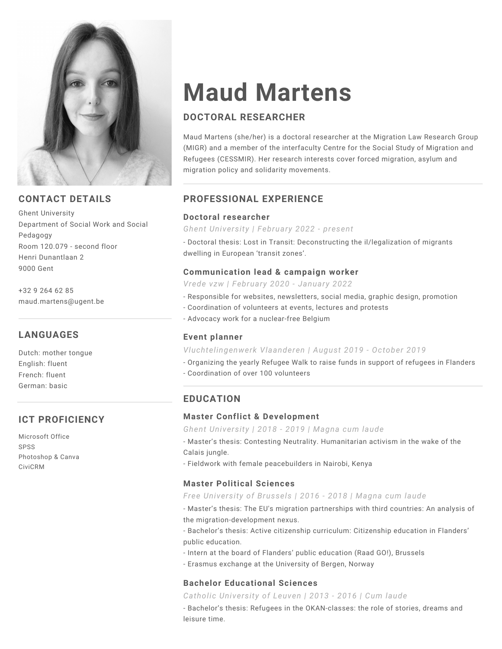

## **CONTACT DETAILS**

Ghent University Department of Social Work and Social Pedagogy Room 120.079 - second floor Henri Dunantlaan 2 9000 Gent

+32 9 264 62 85 maud.martens@ugent.be

# **LANGUAGES**

Dutch: mother tongue English: fluent French: fluent German: basic

# **ICT PROFICIENCY**

Microsoft Office SPSS Photoshop & Canva CiviCRM

# **Maud Martens**

# **DOCTORAL RESEARCHER**

Maud Martens (she/her) is a doctoral researcher at the Migration Law Research Group (MIGR) and a member of the interfaculty Centre for the Social Study of Migration and Refugees (CESSMIR). Her research interests cover forced migration, asylum and migration policy and solidarity movements.

## **PROFESSIONAL EXPERIENCE**

#### **Doctoral researcher**

*Ghent University | February 2022 - present*

- Doctoral thesis: Lost in Transit: Deconstructing the il/legalization of migrants dwelling in European 'transit zones'.

### **Communication lead & campaign worker**

*Vrede vzw | February 2020 - January 2022*

- Responsible for websites, newsletters, social media, graphic design, promotion
- Coordination of volunteers at events, lectures and protests
- Advocacy work for a nuclear-free Belgium

### **Event planner**

*Vluchtelingenwerk Vlaanderen | August 2019 - October 2019*

- Organizing the yearly Refugee Walk to raise funds in support of refugees in Flanders

- Coordination of over 100 volunteers

# **EDUCATION**

### **Master Conflict & Development**

*Ghent University | 2018 - 2019 | Magna cum laude*

- Master's thesis: Contesting Neutrality. Humanitarian activism in the wake of the Calais jungle.

- Fieldwork with female peacebuilders in Nairobi, Kenya

### **Master Political Sciences**

#### *Free University of Brussels | 2016 - 2018 | Magna cum laude*

- Master's thesis: The EU's migration partnerships with third countries: An analysis of the migration-development nexus.

- Bachelor's thesis: Active citizenship curriculum: Citizenship education in Flanders' public education.

- Intern at the board of Flanders' public education (Raad GO!), Brussels
- Erasmus exchange at the University of Bergen, Norway

### **Bachelor Educational Sciences**

### *Catholic University of Leuven | 2013 - 2016 | Cum laude*

- Bachelor's thesis: Refugees in the OKAN-classes: the role of stories, dreams and leisure time.